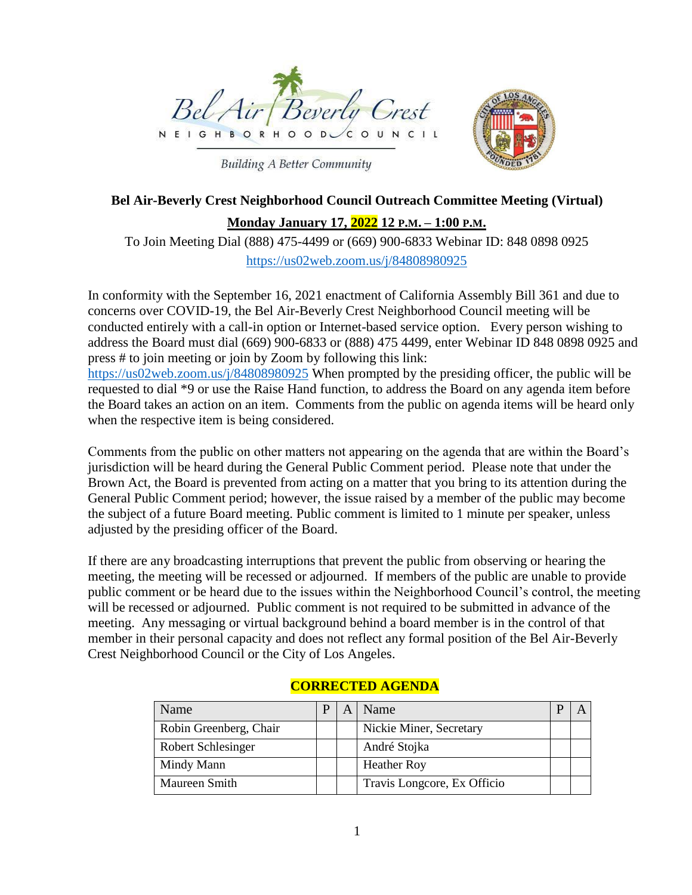

**Building A Better Community** 



# **Bel Air-Beverly Crest Neighborhood Council Outreach Committee Meeting (Virtual)**

**Monday January 17, 2022 12 P.M. – 1:00 P.M.**

To Join Meeting Dial (888) 475-4499 or (669) 900-6833 Webinar ID: 848 0898 0925 <https://us02web.zoom.us/j/84808980925>

In conformity with the September 16, 2021 enactment of California Assembly Bill 361 and due to concerns over COVID-19, the Bel Air-Beverly Crest Neighborhood Council meeting will be conducted entirely with a call-in option or Internet-based service option. Every person wishing to address the Board must dial (669) 900-6833 or (888) 475 4499, enter Webinar ID 848 0898 0925 and press # to join meeting or join by Zoom by following this link: <https://us02web.zoom.us/j/84808980925> When prompted by the presiding officer, the public will be requested to dial \*9 or use the Raise Hand function, to address the Board on any agenda item before the Board takes an action on an item. Comments from the public on agenda items will be heard only when the respective item is being considered.

Comments from the public on other matters not appearing on the agenda that are within the Board's jurisdiction will be heard during the General Public Comment period. Please note that under the Brown Act, the Board is prevented from acting on a matter that you bring to its attention during the General Public Comment period; however, the issue raised by a member of the public may become the subject of a future Board meeting. Public comment is limited to 1 minute per speaker, unless adjusted by the presiding officer of the Board.

If there are any broadcasting interruptions that prevent the public from observing or hearing the meeting, the meeting will be recessed or adjourned. If members of the public are unable to provide public comment or be heard due to the issues within the Neighborhood Council's control, the meeting will be recessed or adjourned. Public comment is not required to be submitted in advance of the meeting. Any messaging or virtual background behind a board member is in the control of that member in their personal capacity and does not reflect any formal position of the Bel Air-Beverly Crest Neighborhood Council or the City of Los Angeles.

| Name                      | р | Name                        |  |
|---------------------------|---|-----------------------------|--|
| Robin Greenberg, Chair    |   | Nickie Miner, Secretary     |  |
| <b>Robert Schlesinger</b> |   | André Stojka                |  |
| Mindy Mann                |   | <b>Heather Roy</b>          |  |
| Maureen Smith             |   | Travis Longcore, Ex Officio |  |

## **CORRECTED AGENDA**